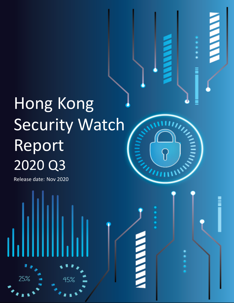# Hong Kong Security Watch Report 2020 Q3

45%

**HIMPIRE** 

**THE PAIN** 

Release date: Nov 2020

25%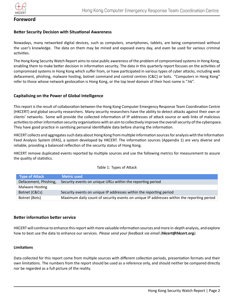

## **Foreword**

#### **Better Security Decision with Situational Awareness**

Nowadays, many networked digital devices, such as computers, smartphones, tablets, are being compromised without the user's knowledge. The data on them may be mined and exposed every day, and even be used for various criminal activities.

The Hong Kong Security Watch Report aims to raise public awareness of the problem of compromised systems in Hong Kong, enabling them to make better decision in information security. The data in this quarterly report focuses on the activities of compromised systems in Hong Kong which suffer from, or have participated in various types of cyber attacks, including web defacement, phishing, malware hosting, botnet command and control centres (C&C) or bots. "Computers in Hong Kong" refer to those whose network geolocation is Hong Kong, or the top level domain of their host name is ".hk".

#### **Capitalising on the Power of Global Intelligence**

This report is the result of collaboration between the Hong Kong Computer Emergency Response Team Coordination Centre (HKCERT) and global security researchers. Many security researchers have the ability to detect attacks against their own or clients' networks. Some will provide the collected information of IP addresses of attack source or web links of malicious activities to other information security organisations with an aim to collectively improve the overall security of the cyberspace. They have good practice in sanitising personal identifiable data before sharing the information.

HKCERT collects and aggregates such data about Hong Kong from multiple information sources for analysis with the Information Feed Analysis System (IFAS), a system developed by HKCERT. The information sources (Appendix 1) are very diverse and reliable, providing a balanced reflection of the security status of Hong Kong.

HKCERT remove duplicated events reported by multiple sources and use the following metrics for measurement to assure the quality of statistics.

| <b>Type of Attack</b> | <b>Metric used</b>                                                                        |
|-----------------------|-------------------------------------------------------------------------------------------|
| Defacement, Phishing, | Security events on unique URLs within the reporting period                                |
| Malware Hosting       |                                                                                           |
| Botnet (C&Cs)         | Security events on unique IP addresses within the reporting period                        |
| Botnet (Bots)         | Maximum daily count of security events on unique IP addresses within the reporting period |

#### Table 1: Types of Attack

#### **Better information better service**

HKCERT will continue to enhance this report with more valuable information sources and more in-depth analysis, and explore how to best use the data to enhance our services. *Please send your feedback via email (hkcert@hkcert.org).*

#### **LimitaƟons**

Data collected for this report come from multiple sources with different collection periods, presentation formats and their own limitations. The numbers from the report should be used as a reference only, and should neither be compared directly nor be regarded as a full picture of the reality.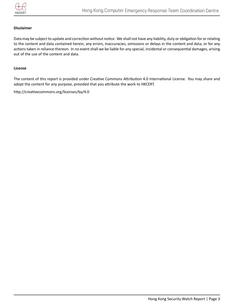

#### **Disclaimer**

Data may be subject to update and correction without notice. We shall not have any liability, duty or obligation for or relating to the content and data contained herein, any errors, inaccuracies, omissions or delays in the content and data, or for any actions taken in reliance thereon. In no event shall we be liable for any special, incidental or consequential damages, arising out of the use of the content and data.

#### **License**

The content of this report is provided under Creative Commons Attribution 4.0 International License. You may share and adopt the content for any purpose, provided that you attribute the work to HKCERT.

http://creativecommons.org/licenses/by/4.0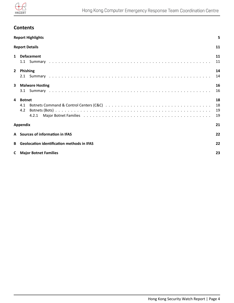

## <span id="page-3-0"></span>**Contents**

|             | <b>Report Highlights</b>                                | 5                    |  |  |  |  |
|-------------|---------------------------------------------------------|----------------------|--|--|--|--|
|             | <b>Report Details</b>                                   | 11                   |  |  |  |  |
| $\mathbf 1$ | <b>Defacement</b>                                       | 11<br>11             |  |  |  |  |
|             | 2 Phishing                                              | 14<br>14             |  |  |  |  |
| 3           | <b>Malware Hosting</b>                                  | 16<br>16             |  |  |  |  |
| 4           | <b>Botnet</b><br>4.2<br>4.2.1                           | 18<br>18<br>19<br>19 |  |  |  |  |
|             | <b>Appendix</b>                                         | 21                   |  |  |  |  |
|             | A Sources of information in IFAS<br>22                  |                      |  |  |  |  |
| B           | <b>Geolocation identification methods in IFAS</b><br>22 |                      |  |  |  |  |
|             | <b>C</b> Major Botnet Families                          | 23                   |  |  |  |  |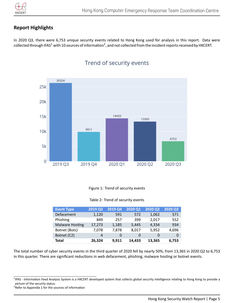

## **Report Highlights**

In 2020 Q3, there were 6,753 unique security events related to Hong Kong used for analysis in this report. Data were collected through IFAS $^1$  $^1$  with 10 sources of information $^2$  $^2$ , and not collected from the incident reports received by HKCERT.



# Trend of security events

#### Figure 1: Trend of security events

#### Table 2: Trend of security events

| <b>Event Type</b>      | 2019 Q3 | <b>2019 Q4</b> | 2020 Q1 | 2020 Q2 | 2020 Q3 |
|------------------------|---------|----------------|---------|---------|---------|
| Defacement             | 1,120   | 591            | 572     | 1,062   | 571     |
| Phishing               | 849     | 257            | 399     | 2,017   | 552     |
| <b>Malware Hosting</b> | 17,273  | 1,185          | 5,445   | 4,334   | 934     |
| Botnet (Bots)          | 7,078   | 7.878          | 8,017   | 5,952   | 4,696   |
| Botnet (C2)            | 4       | 0              | 0       | 0       | 0       |
| Total                  | 26,324  | 9,911          | 14,433  | 13,365  | 6,753   |

The total number of cyber security events in the third quarter of 2020 fell by nearly 50%, from 13,365 in 2020 Q2 to 6,753 in this quarter. There are significant reductions in web defacement, phishing, malware hosting or botnet events.

<span id="page-4-0"></span><sup>&</sup>lt;sup>1</sup>IFAS - Information Feed Analysis System is a HKCERT developed system that collects global security intelligence relating to Hong Kong to provide a picture of the security status.

<span id="page-4-1"></span><sup>&</sup>lt;sup>2</sup> Refer to Appendix 1 for the sources of information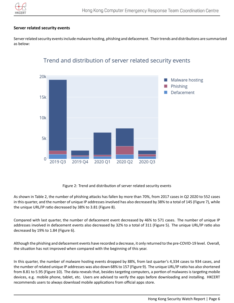

#### **Server related security events**

Server related security events include malware hosting, phishing and defacement. Their trends and distributions are summarized as below:



# Trend and distribution of server related security events

Figure 2: Trend and distribution of server related security events

As shown in Table 2, the number of phishing attacks has fallen by more than 70%, from 2017 cases in Q2 2020 to 552 cases in this quarter, and the number of unique IP addresses involved has also decreased by 38% to a total of 145 (Figure 7), while the unique URL/IP ratio decreased by 38% to 3.81 (Figure 8).

Compared with last quarter, the number of defacement event decreased by 46% to 571 cases. The number of unique IP addresses involved in defacement events also decreased by 32% to a total of 311 (Figure 5). The unique URL/IP ratio also decreased by 19% to 1.84 (Figure 6).

Although the phishing and defacement events have recorded a decrease, it only returned to the pre-COVID-19 level. Overall, the situation has not improved when compared with the beginning of this year.

In this quarter, the number of malware hosting events dropped by 88%, from last quarter's 4,334 cases to 934 cases, and the number of related unique IP addresses was also down 68% to 157 (Figure 9). The unique URL/IP ratio has also shortened from 8.81 to 5.95 (Figure 10). The data reveals that, besides targeting computers, a portion of malwares is targeting mobile devices, e.g. mobile phone, tablet, etc. Users are advised to verify the apps before downloading and installing. HKCERT recommends users to always download mobile applications from official apps store.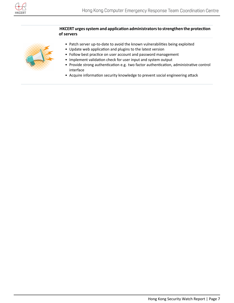

#### **HKCERT urges system and application administrators to strengthen the protection of servers**



- Patch server up-to-date to avoid the known vulnerabilities being exploited
- Update web application and plugins to the latest version
- Follow best practice on user account and password management
- Implement validation check for user input and system output
- Provide strong authentication e.g. two factor authentication, administrative control interface
- Acquire information security knowledge to prevent social engineering attack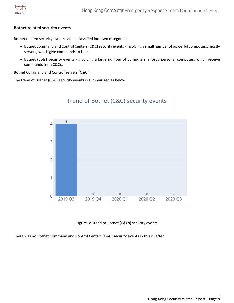

#### **Botnet related security events**

Botnet related security events can be classified into two categories:

- Botnet Command and Control Centers (C&C) security events involving a small number of powerful computers, mostly servers, which give commands to bots
- Botnet (Bots) security events involving a large number of computers, mostly personal computers which receive commands from C&Cs.

#### Botnet Command and Control Servers (C&C)

The trend of Botnet (C&C) security events is summarised as below:



## Trend of Botnet (C&C) security events

Figure 3: Trend of Botnet (C&Cs) security events

There was no Botnet Command and Control Centers (C&C) security events in this quarter.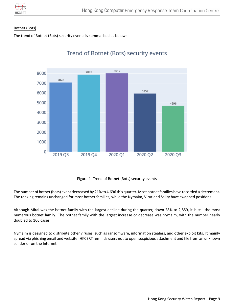

#### Botnet (Bots)

The trend of Botnet (Bots) security events is summarised as below:



# Trend of Botnet (Bots) security events

Figure 4: Trend of Botnet (Bots) security events

The number of botnet (bots) event decreased by 21% to 4,696 this quarter. Most botnet families have recorded a decrement. The ranking remains unchanged for most botnet families, while the Nymaim, Virut and Sality have swapped positions.

Although Mirai was the botnet family with the largest decline during the quarter, down 28% to 2,859, it is still the most numerous botnet family. The botnet family with the largest increase or decrease was Nymaim, with the number nearly doubled to 166 cases.

Nymaim is designed to distribute other viruses, such as ransomware, information stealers, and other exploit kits. It mainly spread via phishing email and website. HKCERT reminds users not to open suspicious attachment and file from an unknown sender or on the Internet.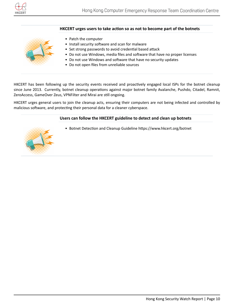

#### HKCERT urges users to take action so as not to become part of the botnets



- Patch the computer
- Install security software and scan for malware
- Set strong passwords to avoid credential based attack
- Do not use Windows, media files and software that have no proper licenses
- Do not use Windows and software that have no security updates
- Do not open files from unreliable sources

HKCERT has been following up the security events received and proactively engaged local ISPs for the botnet cleanup since June 2013. Currently, botnet cleanup operations against major botnet family Avalanche, Pushdo, Citadel, Ramnit, ZeroAccess, GameOver Zeus, VPNFilter and Mirai are still ongoing.

<span id="page-9-0"></span>HKCERT urges general users to join the cleanup acts, ensuring their computers are not being infected and controlled by malicious software, and protecting their personal data for a cleaner cyberspace.

#### **Users can follow the HKCERT guideline to detect and clean up botnets**

• Botnet Detection and Cleanup Guideline https://www.hkcert.org/botnet

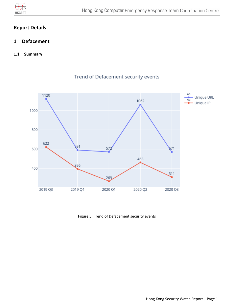

## **Report Details**

- <span id="page-10-0"></span>**1 Defacement**
- <span id="page-10-1"></span>**1.1 Summary**



## Trend of Defacement security events

Figure 5: Trend of Defacement security events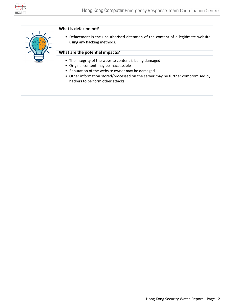

#### **What is defacement?**



• Defacement is the unauthorised alteration of the content of a legitimate website using any hacking methods.

#### **What are the potenƟal impacts?**

- The integrity of the website content is being damaged
- Original content may be inaccessible
- Reputation of the website owner may be damaged
- Other information stored/processed on the server may be further compromised by hackers to perform other attacks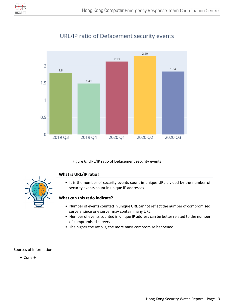



# URL/IP ratio of Defacement security events

Figure 6: URL/IP ratio of Defacement security events

#### **What is URL/IP ratio?**



• It is the number of security events count in unique URL divided by the number of security events count in unique IP addresses

#### **What can this raƟo indicate?**

- Number of events counted in unique URL cannot reflect the number of compromised servers, since one server may contain many URL
- Number of events counted in unique IP address can be better related to the number of compromised servers
- The higher the ratio is, the more mass compromise happened

#### Sources of Information:

• Zone-H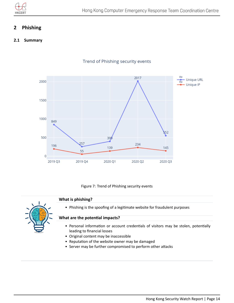

## <span id="page-13-0"></span>**2 Phishing**

#### <span id="page-13-1"></span>**2.1 Summary**



## Trend of Phishing security events

Figure 7: Trend of Phishing security events

#### **What is phishing?**



• Phishing is the spoofing of a legitimate website for fraudulent purposes

#### **What are the potenƟal impacts?**

- Personal information or account credentials of visitors may be stolen, potentially leading to financial losses
- Original content may be inaccessible
- Reputation of the website owner may be damaged
- Server may be further compromised to perform other attacks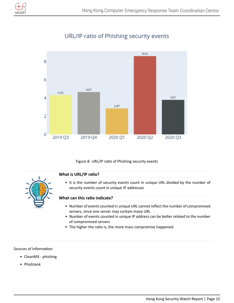



# URL/IP ratio of Phishing security events

Figure 8: URL/IP ratio of Phishing security events

#### **What is URL/IP ratio?**



• It is the number of security events count in unique URL divided by the number of security events count in unique IP addresses

#### **What can this raƟo indicate?**

- Number of events counted in unique URL cannot reflect the number of compromised servers, since one server may contain many URL
- Number of events counted in unique IP address can be better related to the number of compromised servers
- The higher the ratio is, the more mass compromise happened

#### Sources of Information:

- CleanMX phishing
- Phishtank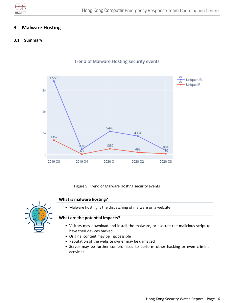

## <span id="page-15-0"></span>**3** Malware Hosting

#### <span id="page-15-1"></span>**3.1 Summary**



Trend of Malware Hosting security events

Figure 9: Trend of Malware Hosting security events

#### **What is malware hosting?**



• Malware hosting is the dispatching of malware on a website

#### **What are the potenƟal impacts?**

- Visitors may download and install the malware, or execute the malicious script to have their devices hacked
- Original content may be inaccessible
- Reputation of the website owner may be damaged
- Server may be further compromised to perform other hacking or even criminal activities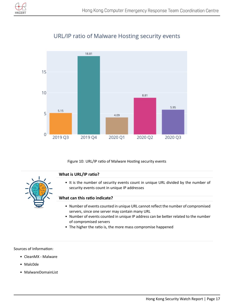

# URL/IP ratio of Malware Hosting security events



Figure 10: URL/IP ratio of Malware Hosting security events

## **What is URL/IP ratio?**



• It is the number of security events count in unique URL divided by the number of security events count in unique IP addresses

#### **What can this raƟo indicate?**

- Number of events counted in unique URL cannot reflect the number of compromised servers, since one server may contain many URL
- Number of events counted in unique IP address can be better related to the number of compromised servers
- The higher the ratio is, the more mass compromise happened

#### Sources of Information:

- CleanMX Malware
- Malc0de
- MalwareDomainList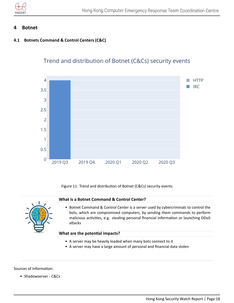

## <span id="page-17-0"></span>**4 Botnet**

## <span id="page-17-1"></span>**4.1 Botnets Command & Control Centers (C&C)**



Trend and distribution of Botnet (C&Cs) security events

Figure 11: Trend and distribution of Botnet (C&Cs) security events

#### **What is a Botnet Command & Control Center?**



• Botnet Command & Control Center is a server used by cybercriminals to control the bots, which are compromised computers, by sending them commands to perform malicious activities, e.g. stealing personal financial information or launching DDoS attacks

#### **What are the potenƟal impacts?**

- A server may be heavily loaded when many bots connect to it
- A server may have a large amount of personal and financial data stolen

#### Sources of Information:

• Shadowserver - C&Cs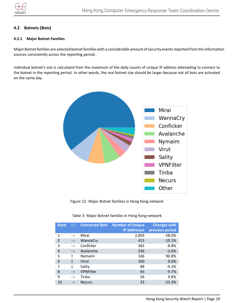

#### <span id="page-18-0"></span>**4.2 Botnets (Bots)**

#### <span id="page-18-1"></span>**4.2.1 Major Botnet Families**

Major Botnet families are selected botnet families with a considerable amount of security events reported from the information sources consistently across the reporting period.

Individual botnet's size is calculated from the maximum of the daily counts of unique IP address attempting to connect to the botnet in the reporting period. In other words, the real botnet size should be larger because not all bots are activated on the same day.



Figure 12: Major Botnet families in Hong Kong network

| <b>Rank</b>    | 仆儿            | <b>Concerned Bots</b> | <b>Number of Unique</b><br><b>IP addresses</b> | <b>Changes with</b><br>previous period |
|----------------|---------------|-----------------------|------------------------------------------------|----------------------------------------|
| 1              | $\rightarrow$ | Mirai                 | 2,859                                          | $-28.0%$                               |
| $\mathfrak{D}$ | $\rightarrow$ | WannaCry              | 415                                            | $-19.1%$                               |
| 3              | $\rightarrow$ | Conficker             | 365                                            | $-8.8%$                                |
| 4              | $\rightarrow$ | Avalanche             | 336                                            | $-2.6%$                                |
| 5              | ⇑             | Nymaim                | 166                                            | 90.8%                                  |
| 6              | ⇓             | Virut                 | 160                                            | 0.0%                                   |
| 7              | ⇓             | Sality                | 88                                             | $-9.3%$                                |
| 8              | $\rightarrow$ | VPNFilter             | 65                                             | $-9.7%$                                |
| 9              | $\rightarrow$ | Tinba                 | 56                                             | 9.8%                                   |
| 10             |               | <b>Necurs</b>         | 33                                             | $-23.3%$                               |

#### Table 3: Major Botnet families in Hong Kong network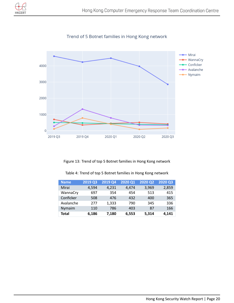



Trend of 5 Botnet families in Hong Kong network

Figure 13: Trend of top 5 Botnet families in Hong Kong network

| <b>Name</b> | 2019 Q3 | 2019 Q4 | 2020 Q1 | 2020 Q2 | 2020 Q3 |
|-------------|---------|---------|---------|---------|---------|
| Mirai       | 4,594   | 4,231   | 4.474   | 3,969   | 2,859   |
| WannaCry    | 697     | 354     | 454     | 513     | 415     |
| Conficker   | 508     | 476     | 432     | 400     | 365     |
| Avalanche   | 277     | 1,333   | 790     | 345     | 336     |
| Nymaim      | 110     | 786     | 403     | 87      | 166     |
| Total       | 6,186   | 7,180   | 6,553   | 5,314   | 4,141   |

Table 4: Trend of top 5 Botnet families in Hong Kong network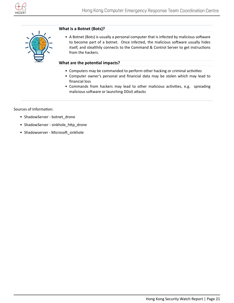

<span id="page-20-0"></span>

#### **What is a Botnet (Bots)?**

• A Botnet (Bots) is usually a personal computer that is infected by malicious software to become part of a botnet. Once infected, the malicious software usually hides itself, and stealthily connects to the Command & Control Server to get instructions from the hackers.

#### **What are the potenƟal impacts?**

- Computers may be commanded to perform other hacking or criminal activities
- Computer owner's personal and financial data may be stolen which may lead to financial loss
- Commands from hackers may lead to other malicious activities, e.g. spreading malicious software or launching DDoS attacks

Sources of Information:

- ShadowServer botnet\_drone
- ShadowServer sinkhole\_http\_drone
- Shadowserver Microsoft\_sinkhole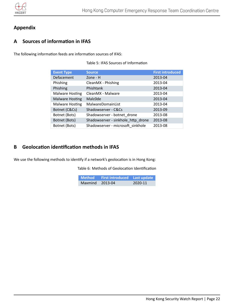

## **Appendix**

## <span id="page-21-0"></span>**A Sources of informaƟon in IFAS**

The following information feeds are information sources of IFAS:

|  |  |  |  | Table 5: IFAS Sources of Information |
|--|--|--|--|--------------------------------------|
|--|--|--|--|--------------------------------------|

| <b>Event Type</b>      | <b>Source</b>                      | <b>First introduced</b> |
|------------------------|------------------------------------|-------------------------|
|                        |                                    |                         |
| Defacement             | Zone - H                           | 2013-04                 |
| Phishing               | CleanMX - Phishing                 | 2013-04                 |
| Phishing               | Phishtank                          | 2013-04                 |
| <b>Malware Hosting</b> | CleanMX - Malware                  | 2013-04                 |
| <b>Malware Hosting</b> | Malc0de                            | 2013-04                 |
| Malware Hosting        | MalwareDomainList                  | 2013-04                 |
| Botnet (C&Cs)          | Shadowserver - C&Cs                | 2013-09                 |
| Botnet (Bots)          | Shadowserver - botnet_drone        | 2013-08                 |
| Botnet (Bots)          | Shadowserver - sinkhole_http_drone | 2013-08                 |
| Botnet (Bots)          | Shadowserver - microsoft sinkhole  | 2013-08                 |

## <span id="page-21-1"></span>**B** Geolocation identification methods in IFAS

We use the following methods to identify if a network's geolocation is in Hong Kong:

Table 6: Methods of Geolocation Identification

|                 | Method First introduced Last update |         |
|-----------------|-------------------------------------|---------|
| Maxmind 2013-04 |                                     | 2020-11 |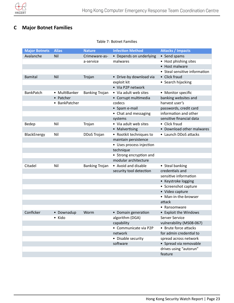

# <span id="page-22-0"></span>**C Major Botnet Families**

Table 7: Botnet Families

| <b>Major Botnets</b> | <b>Alias</b>  | <b>Nature</b>         | <b>Infection Method</b>  | <b>Attacks / Impacts</b>      |
|----------------------|---------------|-----------------------|--------------------------|-------------------------------|
| Avalanche            | Nil           | Crimeware-as-         | • Depends on underlying  | • Send spams                  |
|                      |               | a-service             | malwares                 | • Host phishing sites         |
|                      |               |                       |                          | • Host malware                |
|                      |               |                       |                          | • Steal sensitive information |
| <b>Bamital</b>       | Nil           | Trojan                | • Drive-by download via  | • Click fraud                 |
|                      |               |                       | exploit kit              | • Search hijacking            |
|                      |               |                       | • Via P2P network        |                               |
| <b>BankPatch</b>     | • MultiBanker | <b>Banking Trojan</b> | • Via adult web sites    | • Monitor specific            |
|                      | • Patcher     |                       | • Corrupt multimedia     | banking websites and          |
|                      | • BankPatcher |                       | codecs                   | harvest user's                |
|                      |               |                       | • Spam e-mail            | passwords, credit card        |
|                      |               |                       | • Chat and messaging     | information and other         |
|                      |               |                       | systems                  | sensitive financial data      |
| Bedep                | Nil           | Trojan                | • Via adult web sites    | • Click fraud                 |
|                      |               |                       | • Malvertising           | • Download other malwares     |
| BlackEnergy          | Nil           | DDoS Trojan           | • Rootkit techniques to  | • Launch DDoS attacks         |
|                      |               |                       | maintain persistence     |                               |
|                      |               |                       | • Uses process injection |                               |
|                      |               |                       | technique                |                               |
|                      |               |                       | • Strong encryption and  |                               |
|                      |               |                       | modular architecture     |                               |
| Citadel              | Nil           | <b>Banking Trojan</b> | • Avoid and disable      | • Steal banking               |
|                      |               |                       | security tool detection  | credentials and               |
|                      |               |                       |                          | sensitive information         |
|                      |               |                       |                          | • Keystroke logging           |
|                      |               |                       |                          | • Screenshot capture          |
|                      |               |                       |                          | • Video capture               |
|                      |               |                       |                          | • Man-in-the-browser          |
|                      |               |                       |                          | attack                        |
|                      |               |                       |                          | • Ransomware                  |
| Conficker            | • Downadup    | Worm                  | • Domain generation      | • Exploit the Windows         |
|                      | • Kido        |                       | algorithm (DGA)          | Server Service                |
|                      |               |                       | capability               | vulnerability (MS08-067)      |
|                      |               |                       | • Communicate via P2P    | • Brute force attacks         |
|                      |               |                       | network                  | for admin credential to       |
|                      |               |                       | • Disable security       | spread across network         |
|                      |               |                       | software                 | • Spread via removable        |
|                      |               |                       |                          | drives using "autorun"        |
|                      |               |                       |                          | feature                       |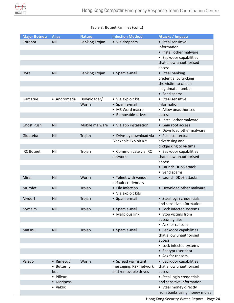

## Table 8: Botnet Families (cont.)

| <b>Major Botnets</b> | <b>Alias</b> | <b>Nature</b>         | <b>Infection Method</b>      | <b>Attacks / Impacts</b>     |
|----------------------|--------------|-----------------------|------------------------------|------------------------------|
| Corebot              | Nil          | <b>Banking Trojan</b> | • Via droppers               | • Steal sensitive            |
|                      |              |                       |                              | information                  |
|                      |              |                       |                              | • Install other malware      |
|                      |              |                       |                              | • Backdoor capabilities      |
|                      |              |                       |                              | that allow unauthorised      |
|                      |              |                       |                              | access                       |
| Dyre                 | Nil          | <b>Banking Trojan</b> | • Spam e-mail                | • Steal banking              |
|                      |              |                       |                              | credential by tricking       |
|                      |              |                       |                              | the victim to call an        |
|                      |              |                       |                              | illegitimate number          |
|                      |              |                       |                              | • Send spams                 |
| Gamarue              | • Andromeda  | Downloader/           | • Via exploit kit            | • Steal sensitive            |
|                      |              | Worm                  | • Spam e-mail                | information                  |
|                      |              |                       | • MS Word macro              | • Allow unauthorised         |
|                      |              |                       | • Removable-drives           | access                       |
|                      |              |                       |                              | • Install other malware      |
| <b>Ghost Push</b>    | Nil          | Mobile malware        | • Via app installation       | • Gain root access           |
|                      |              |                       |                              | • Download other malware     |
| Glupteba             | Nil          | Trojan                | • Drive-by download via      | • Push contextual            |
|                      |              |                       | <b>Blackhole Exploit Kit</b> | advertising and              |
|                      |              |                       |                              | clickjacking to victims      |
| <b>IRC Botnet</b>    | Nil          | Trojan                | • Communicate via IRC        | • Backdoor capabilities      |
|                      |              |                       | network                      | that allow unauthorised      |
|                      |              |                       |                              | access                       |
|                      |              |                       |                              | • Launch DDoS attack         |
|                      |              |                       |                              | • Send spams                 |
| Mirai                | Nil          | Worm                  | • Telnet with vendor         | • Launch DDoS attacks        |
|                      |              |                       | default credentials          |                              |
| Murofet              | Nil          | Trojan                | • File infection             | • Download other malware     |
|                      |              |                       | • Via exploit kits           |                              |
| <b>Nivdort</b>       | Nil          | Trojan                | • Spam e-mail                | • Steal login credentials    |
|                      |              |                       |                              | and sensitive information    |
| Nymaim               | Nil          | Trojan                | • Spam e-mail                | • Lock infected systems      |
|                      |              |                       | • Malicious link             | • Stop victims from          |
|                      |              |                       |                              | accessing files              |
|                      |              |                       |                              | • Ask for ransom             |
| Matsnu               | Nil          | Trojan                | • Spam e-mail                | • Backdoor capabilities      |
|                      |              |                       |                              | that allow unauthorised      |
|                      |              |                       |                              | access                       |
|                      |              |                       |                              | • Lock infected systems      |
|                      |              |                       |                              | • Encrypt user data          |
|                      |              |                       |                              | • Ask for ransom             |
| Palevo               | • Rimecud    | Worm                  | • Spread via instant         | • Backdoor capabilities      |
|                      | • Butterfly  |                       | messaging, P2P network       | that allow unauthorised      |
|                      | bot          |                       | and removable drives         | access                       |
|                      | • Pilleuz    |                       |                              | • Steal login credentials    |
|                      | • Mariposa   |                       |                              | and sensitive information    |
|                      | • Vaklik     |                       |                              | • Steal money directly       |
|                      |              |                       |                              | from banks using money mules |

Hong Kong Security Watch Report | Page 24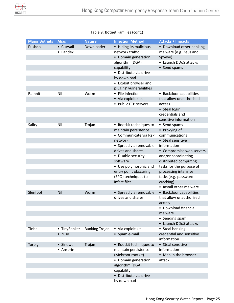

## Table 9: Botnet Families (cont.)

| <b>Major Botnets</b> | <b>Alias</b> | <b>Nature</b>         | <b>Infection Method</b>  | <b>Attacks / Impacts</b> |
|----------------------|--------------|-----------------------|--------------------------|--------------------------|
| Pushdo               | • Cutwail    | Downloader            | • Hiding its malicious   | • Download other banking |
|                      | • Pandex     |                       | network traffic          | malware (e.g. Zeus and   |
|                      |              |                       | • Domain generation      | Spyeye)                  |
|                      |              |                       | algorithm (DGA)          | • Launch DDoS attacks    |
|                      |              |                       | capability               | • Send spams             |
|                      |              |                       | · Distribute via drive   |                          |
|                      |              |                       | by download              |                          |
|                      |              |                       | • Exploit browser and    |                          |
|                      |              |                       | plugins' vulnerabilities |                          |
| Ramnit               | Nil          | Worm                  | • File infection         | • Backdoor capabilities  |
|                      |              |                       | • Via exploit kits       | that allow unauthorised  |
|                      |              |                       | • Public FTP servers     | access                   |
|                      |              |                       |                          | • Steal login            |
|                      |              |                       |                          | credentials and          |
|                      |              |                       |                          | sensitive information    |
| Sality               | Nil          | Trojan                | • Rootkit techniques to  | • Send spams             |
|                      |              |                       | maintain persistence     | • Proxying of            |
|                      |              |                       | • Communicate via P2P    | communications           |
|                      |              |                       | network                  | • Steal sensitive        |
|                      |              |                       | • Spread via removable   | information              |
|                      |              |                       | drives and shares        | • Compromise web servers |
|                      |              |                       | • Disable security       | and/or coordinating      |
|                      |              |                       | software                 | distributed computing    |
|                      |              |                       | • Use polymorphic and    | tasks for the purpose of |
|                      |              |                       | entry point obscuring    | processing intensive     |
|                      |              |                       | (EPO) techniques to      | tasks (e.g. password     |
|                      |              |                       | infect files             | cracking)                |
|                      |              |                       |                          | • Install other malware  |
| Slenfbot             | Nil          | Worm                  | • Spread via removable   | • Backdoor capabilities  |
|                      |              |                       | drives and shares        | that allow unauthorised  |
|                      |              |                       |                          | access                   |
|                      |              |                       |                          | • Download financial     |
|                      |              |                       |                          | malware                  |
|                      |              |                       |                          | • Sending spam           |
|                      |              |                       |                          | • Launch DDoS attacks    |
| Tinba                | • TinyBanker | <b>Banking Trojan</b> | • Via exploit kit        | • Steal banking          |
|                      | • Zusy       |                       | • Spam e-mail            | credential and sensitive |
|                      |              |                       |                          | information              |
| Torpig               | • Sinowal    | Trojan                | • Rootkit techniques to  | • Steal sensitive        |
|                      | • Anserin    |                       | maintain persistence     | information              |
|                      |              |                       | (Mebroot rootkit)        | • Man in the browser     |
|                      |              |                       | • Domain generation      | attack                   |
|                      |              |                       | algorithm (DGA)          |                          |
|                      |              |                       | capability               |                          |
|                      |              |                       | · Distribute via drive   |                          |
|                      |              |                       | by download              |                          |